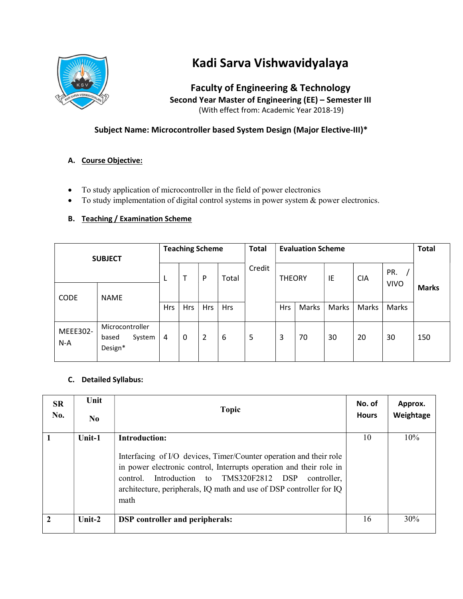

# Kadi Sarva Vishwavidyalaya

Faculty of Engineering & Technology Second Year Master of Engineering (EE) – Semester III (With effect from: Academic Year 2018-19)

# Subject Name: Microcontroller based System Design (Major Elective-III)\*

## A. Course Objective:

- To study application of microcontroller in the field of power electronics
- To study implementation of digital control systems in power system & power electronics.

## B. Teaching / Examination Scheme

| <b>SUBJECT</b><br><b>CODE</b><br><b>NAME</b> |                                               | <b>Teaching Scheme</b> |            |                |            | <b>Total</b> | <b>Evaluation Scheme</b> |       |       |            |                    | <b>Total</b> |
|----------------------------------------------|-----------------------------------------------|------------------------|------------|----------------|------------|--------------|--------------------------|-------|-------|------------|--------------------|--------------|
|                                              |                                               | L                      | т          | P              | Total      | Credit       | <b>THEORY</b>            |       | ΙE    | <b>CIA</b> | PR.<br><b>VIVO</b> | <b>Marks</b> |
|                                              |                                               | <b>Hrs</b>             | <b>Hrs</b> | Hrs            | <b>Hrs</b> |              | <b>Hrs</b>               | Marks | Marks | Marks      | Marks              |              |
| MEEE302-<br>$N-A$                            | Microcontroller<br>System<br>based<br>Design* | 4                      | 0          | $\overline{2}$ | 6          | 5            | 3                        | 70    | 30    | 20         | 30                 | 150          |

#### C. Detailed Syllabus:

| <b>SR</b><br>No. | Unit<br>N <sub>0</sub> | <b>Topic</b>                                                                                                                                                                                                                                                                                            | No. of<br><b>Hours</b> | Approx.<br>Weightage |
|------------------|------------------------|---------------------------------------------------------------------------------------------------------------------------------------------------------------------------------------------------------------------------------------------------------------------------------------------------------|------------------------|----------------------|
|                  | Unit-1                 | Introduction:<br>Interfacing of I/O devices, Timer/Counter operation and their role<br>in power electronic control, Interrupts operation and their role in<br>Introduction to TMS320F2812 DSP<br>control.<br>controller.<br>architecture, peripherals, IQ math and use of DSP controller for IQ<br>math | 10                     | $10\%$               |
|                  | Unit- $2$              | <b>DSP</b> controller and peripherals:                                                                                                                                                                                                                                                                  | 16                     | 30%                  |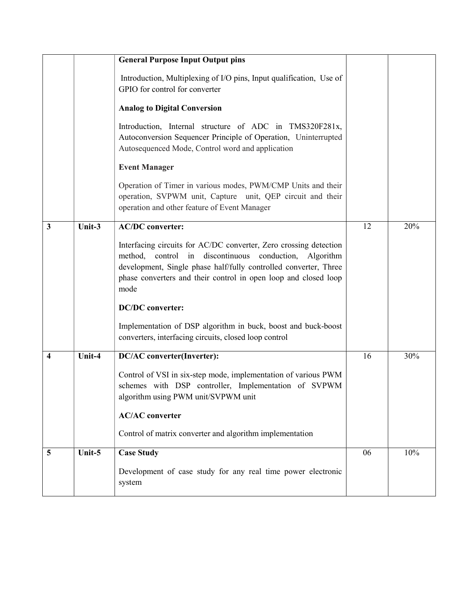|                         |           | <b>General Purpose Input Output pins</b>                                                                                                                                                                                                                                   |    |     |
|-------------------------|-----------|----------------------------------------------------------------------------------------------------------------------------------------------------------------------------------------------------------------------------------------------------------------------------|----|-----|
|                         |           | Introduction, Multiplexing of I/O pins, Input qualification, Use of<br>GPIO for control for converter                                                                                                                                                                      |    |     |
|                         |           | <b>Analog to Digital Conversion</b>                                                                                                                                                                                                                                        |    |     |
|                         |           | Introduction, Internal structure of ADC in TMS320F281x,<br>Autoconversion Sequencer Principle of Operation, Uninterrupted<br>Autosequenced Mode, Control word and application                                                                                              |    |     |
|                         |           | <b>Event Manager</b>                                                                                                                                                                                                                                                       |    |     |
|                         |           | Operation of Timer in various modes, PWM/CMP Units and their<br>operation, SVPWM unit, Capture unit, QEP circuit and their<br>operation and other feature of Event Manager                                                                                                 |    |     |
| $\overline{\mathbf{3}}$ | Unit-3    | <b>AC/DC</b> converter:                                                                                                                                                                                                                                                    | 12 | 20% |
|                         |           | Interfacing circuits for AC/DC converter, Zero crossing detection<br>method, control in discontinuous conduction, Algorithm<br>development, Single phase half/fully controlled converter, Three<br>phase converters and their control in open loop and closed loop<br>mode |    |     |
|                         |           | <b>DC/DC</b> converter:                                                                                                                                                                                                                                                    |    |     |
|                         |           | Implementation of DSP algorithm in buck, boost and buck-boost<br>converters, interfacing circuits, closed loop control                                                                                                                                                     |    |     |
| 4                       | Unit-4    | <b>DC/AC</b> converter(Inverter):                                                                                                                                                                                                                                          | 16 | 30% |
|                         |           | Control of VSI in six-step mode, implementation of various PWM<br>schemes with DSP controller, Implementation of SVPWM<br>algorithm using PWM unit/SVPWM unit                                                                                                              |    |     |
|                         |           | <b>AC/AC</b> converter                                                                                                                                                                                                                                                     |    |     |
|                         |           | Control of matrix converter and algorithm implementation                                                                                                                                                                                                                   |    |     |
| 5                       | Unit- $5$ | <b>Case Study</b>                                                                                                                                                                                                                                                          | 06 | 10% |
|                         |           | Development of case study for any real time power electronic<br>system                                                                                                                                                                                                     |    |     |